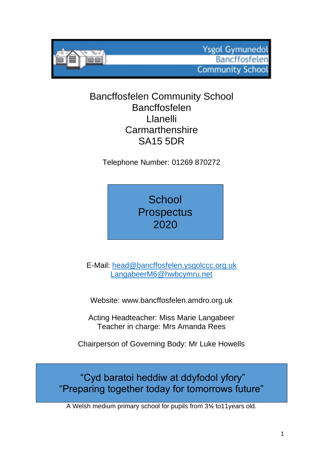**Ysgol Gymunedol Bancffosfelen Community School** 

# Bancffosfelen Community School Bancffosfelen Llanelli **Carmarthenshire** SA15 5DR

Telephone Number: 01269 870272

**School Prospectus** 2020

E-Mail: [head@bancffosfelen.ysgolccc.org.uk](mailto:head@bancffosfelen.ysgolccc.org.uk) [LangabeerM6@hwbcymru.net](mailto:LangabeerM6@hwbcymru.net)

Website: www.bancffosfelen.amdro.org.uk

Acting Headteacher: Miss Marie Langabeer Teacher in charge: Mrs Amanda Rees

Chairperson of Governing Body: Mr Luke Howells

"Cyd baratoi heddiw at ddyfodol yfory" "Preparing together today for tomorrows future"

A Welsh medium primary school for pupils from 3**½** to11years old.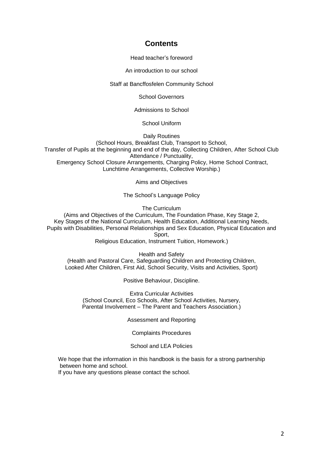# **Contents**

Head teacher's foreword

An introduction to our school

Staff at Bancffosfelen Community School

School Governors

Admissions to School

School Uniform

Daily Routines

(School Hours, Breakfast Club, Transport to School, Transfer of Pupils at the beginning and end of the day, Collecting Children, After School Club Attendance / Punctuality, Emergency School Closure Arrangements, Charging Policy, Home School Contract, Lunchtime Arrangements, Collective Worship.)

Aims and Objectives

The School's Language Policy

The Curriculum

(Aims and Objectives of the Curriculum, The Foundation Phase, Key Stage 2, Key Stages of the National Curriculum, Health Education, Additional Learning Needs, Pupils with Disabilities, Personal Relationships and Sex Education, Physical Education and Sport,

Religious Education, Instrument Tuition, Homework.)

Health and Safety (Health and Pastoral Care, Safeguarding Children and Protecting Children, Looked After Children, First Aid, School Security, Visits and Activities, Sport)

Positive Behaviour, Discipline.

Extra Curricular Activities (School Council, Eco Schools, After School Activities, Nursery, Parental Involvement – The Parent and Teachers Association.)

Assessment and Reporting

Complaints Procedures

School and LEA Policies

We hope that the information in this handbook is the basis for a strong partnership between home and school.

If you have any questions please contact the school.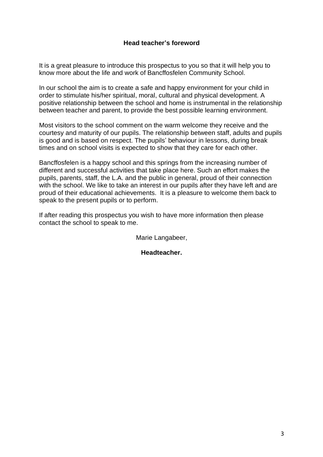#### **Head teacher's foreword**

It is a great pleasure to introduce this prospectus to you so that it will help you to know more about the life and work of Bancffosfelen Community School.

In our school the aim is to create a safe and happy environment for your child in order to stimulate his/her spiritual, moral, cultural and physical development. A positive relationship between the school and home is instrumental in the relationship between teacher and parent, to provide the best possible learning environment.

Most visitors to the school comment on the warm welcome they receive and the courtesy and maturity of our pupils. The relationship between staff, adults and pupils is good and is based on respect. The pupils' behaviour in lessons, during break times and on school visits is expected to show that they care for each other.

Bancffosfelen is a happy school and this springs from the increasing number of different and successful activities that take place here. Such an effort makes the pupils, parents, staff, the L.A. and the public in general, proud of their connection with the school. We like to take an interest in our pupils after they have left and are proud of their educational achievements. It is a pleasure to welcome them back to speak to the present pupils or to perform.

If after reading this prospectus you wish to have more information then please contact the school to speak to me.

Marie Langabeer,

**Headteacher.**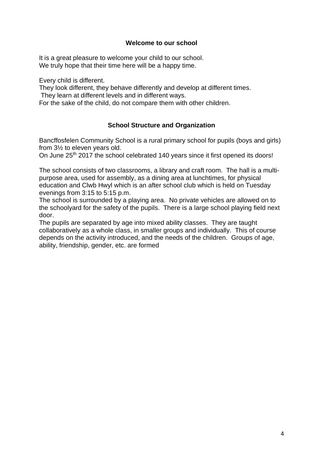#### **Welcome to our school**

It is a great pleasure to welcome your child to our school. We truly hope that their time here will be a happy time.

Every child is different.

They look different, they behave differently and develop at different times.

They learn at different levels and in different ways.

For the sake of the child, do not compare them with other children.

# **School Structure and Organization**

Bancffosfelen Community School is a rural primary school for pupils (boys and girls) from 3½ to eleven years old.

On June 25<sup>th</sup> 2017 the school celebrated 140 years since it first opened its doors!

The school consists of two classrooms, a library and craft room. The hall is a multipurpose area, used for assembly, as a dining area at lunchtimes, for physical education and Clwb Hwyl which is an after school club which is held on Tuesday evenings from 3:15 to 5:15 p.m.

The school is surrounded by a playing area. No private vehicles are allowed on to the schoolyard for the safety of the pupils. There is a large school playing field next door.

The pupils are separated by age into mixed ability classes. They are taught collaboratively as a whole class, in smaller groups and individually. This of course depends on the activity introduced, and the needs of the children. Groups of age, ability, friendship, gender, etc. are formed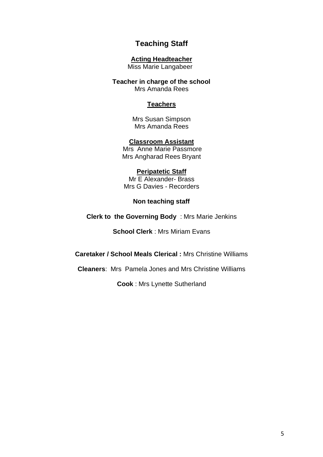# **Teaching Staff**

#### **Acting Headteacher**

Miss Marie Langabeer

**Teacher in charge of the school** Mrs Amanda Rees

#### **Teachers**

Mrs Susan Simpson Mrs Amanda Rees

#### **Classroom Assistant**

Mrs Anne Marie Passmore Mrs Angharad Rees Bryant

#### **Peripatetic Staff**

Mr E Alexander- Brass Mrs G Davies - Recorders

#### **Non teaching staff**

**Clerk to the Governing Body** : Mrs Marie Jenkins

**School Clerk** : Mrs Miriam Evans

**Caretaker / School Meals Clerical :** Mrs Christine Williams

**Cleaners**: Mrs Pamela Jones and Mrs Christine Williams

**Cook** : Mrs Lynette Sutherland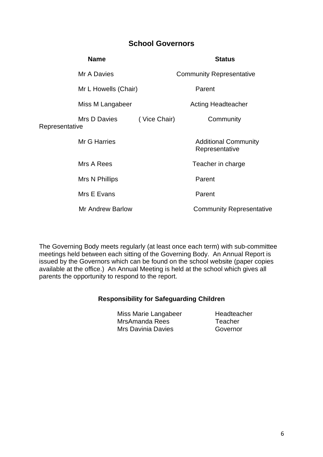# **School Governors**

|                | <b>Name</b>             | <b>Status</b> |                                               |  |  |  |  |  |
|----------------|-------------------------|---------------|-----------------------------------------------|--|--|--|--|--|
|                | Mr A Davies             |               | <b>Community Representative</b>               |  |  |  |  |  |
|                | Mr L Howells (Chair)    |               | Parent                                        |  |  |  |  |  |
|                | Miss M Langabeer        |               | <b>Acting Headteacher</b>                     |  |  |  |  |  |
| Representative | Mrs D Davies            | (Vice Chair)  | Community                                     |  |  |  |  |  |
|                | <b>Mr G Harries</b>     |               | <b>Additional Community</b><br>Representative |  |  |  |  |  |
|                | Mrs A Rees              |               | Teacher in charge                             |  |  |  |  |  |
|                | Mrs N Phillips          |               | Parent                                        |  |  |  |  |  |
|                | Mrs E Evans             |               | Parent                                        |  |  |  |  |  |
|                | <b>Mr Andrew Barlow</b> |               | <b>Community Representative</b>               |  |  |  |  |  |
|                |                         |               |                                               |  |  |  |  |  |

The Governing Body meets regularly (at least once each term) with sub-committee meetings held between each sitting of the Governing Body. An Annual Report is issued by the Governors which can be found on the school website (paper copies available at the office.) An Annual Meeting is held at the school which gives all parents the opportunity to respond to the report.

#### **Responsibility for Safeguarding Children**

Miss Marie Langabeer Headteacher MrsAmanda Rees Teacher Mrs Davinia Davies **Governor**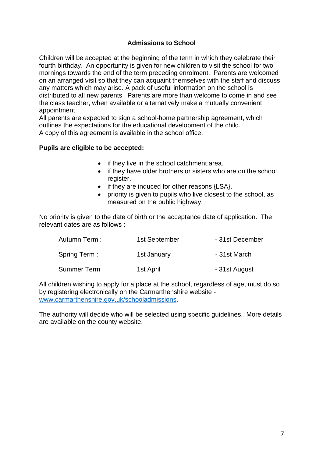# **Admissions to School**

Children will be accepted at the beginning of the term in which they celebrate their fourth birthday. An opportunity is given for new children to visit the school for two mornings towards the end of the term preceding enrolment. Parents are welcomed on an arranged visit so that they can acquaint themselves with the staff and discuss any matters which may arise. A pack of useful information on the school is distributed to all new parents. Parents are more than welcome to come in and see the class teacher, when available or alternatively make a mutually convenient appointment.

All parents are expected to sign a school-home partnership agreement, which outlines the expectations for the educational development of the child. A copy of this agreement is available in the school office.

#### **Pupils are eligible to be accepted:**

- if they live in the school catchment area.
- if they have older brothers or sisters who are on the school register.
- if they are induced for other reasons {LSA}.
- priority is given to pupils who live closest to the school, as measured on the public highway.

No priority is given to the date of birth or the acceptance date of application. The relevant dates are as follows :

| Autumn Term : | 1st September | - 31st December |
|---------------|---------------|-----------------|
| Spring Term:  | 1st January   | - 31st March    |
| Summer Term:  | 1st April     | - 31st August   |

All children wishing to apply for a place at the school, regardless of age, must do so by registering electronically on the Carmarthenshire website [www.carmarthenshire.gov.uk/schooladmissions.](http://www.carmarthenshire.gov.uk/schooladmissions)

The authority will decide who will be selected using specific guidelines. More details are available on the county website.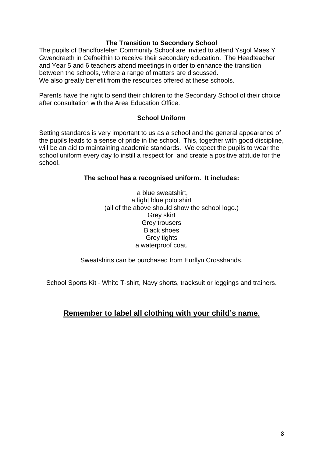#### **The Transition to Secondary School**

The pupils of Bancffosfelen Community School are invited to attend Ysgol Maes Y Gwendraeth in Cefneithin to receive their secondary education. The Headteacher and Year 5 and 6 teachers attend meetings in order to enhance the transition between the schools, where a range of matters are discussed. We also greatly benefit from the resources offered at these schools.

Parents have the right to send their children to the Secondary School of their choice after consultation with the Area Education Office.

#### **School Uniform**

Setting standards is very important to us as a school and the general appearance of the pupils leads to a sense of pride in the school. This, together with good discipline, will be an aid to maintaining academic standards. We expect the pupils to wear the school uniform every day to instill a respect for, and create a positive attitude for the school.

#### **The school has a recognised uniform. It includes:**

a blue sweatshirt, a light blue polo shirt (all of the above should show the school logo.) Grey skirt Grey trousers Black shoes Grey tights a waterproof coat.

Sweatshirts can be purchased from Eurllyn Crosshands.

School Sports Kit - White T-shirt, Navy shorts, tracksuit or leggings and trainers.

# **Remember to label all clothing with your child's name**.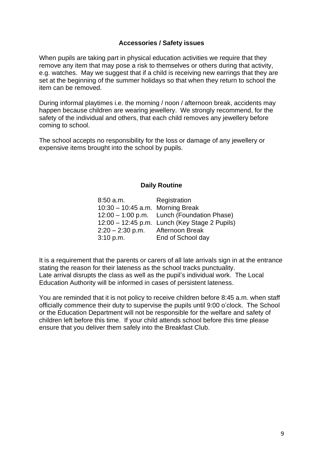#### **Accessories / Safety issues**

When pupils are taking part in physical education activities we require that they remove any item that may pose a risk to themselves or others during that activity, e.g. watches. May we suggest that if a child is receiving new earrings that they are set at the beginning of the summer holidays so that when they return to school the item can be removed.

During informal playtimes i.e. the morning / noon / afternoon break, accidents may happen because children are wearing jewellery. We strongly recommend, for the safety of the individual and others, that each child removes any jewellery before coming to school.

The school accepts no responsibility for the loss or damage of any jewellery or expensive items brought into the school by pupils.

#### **Daily Routine**

| $8:50$ a.m.                        | Registration                                  |
|------------------------------------|-----------------------------------------------|
| $10:30 - 10:45$ a.m. Morning Break |                                               |
|                                    | 12:00 - 1:00 p.m. Lunch (Foundation Phase)    |
|                                    | 12:00 - 12:45 p.m. Lunch (Key Stage 2 Pupils) |
| $2:20 - 2:30$ p.m. Afternoon Break |                                               |
| 3:10 p.m.                          | End of School day                             |

It is a requirement that the parents or carers of all late arrivals sign in at the entrance stating the reason for their lateness as the school tracks punctuality. Late arrival disrupts the class as well as the pupil's individual work. The Local Education Authority will be informed in cases of persistent lateness.

You are reminded that it is not policy to receive children before 8:45 a.m. when staff officially commence their duty to supervise the pupils until 9:00 o'clock. The School or the Education Department will not be responsible for the welfare and safety of children left before this time. If your child attends school before this time please ensure that you deliver them safely into the Breakfast Club.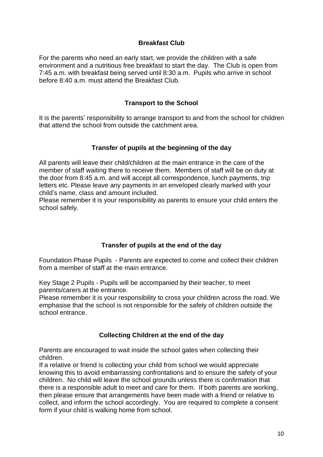#### **Breakfast Club**

For the parents who need an early start, we provide the children with a safe environment and a nutritious free breakfast to start the day. The Club is open from 7:45 a.m. with breakfast being served until 8:30 a.m. Pupils who arrive in school before 8:40 a.m. must attend the Breakfast Club.

#### **Transport to the School**

It is the parents' responsibility to arrange transport to and from the school for children that attend the school from outside the catchment area.

#### **Transfer of pupils at the beginning of the day**

All parents will leave their child/children at the main entrance in the care of the member of staff waiting there to receive them. Members of staff will be on duty at the door from 8:45 a.m. and will accept all correspondence, lunch payments, trip letters etc. Please leave any payments in an enveloped clearly marked with your child's name, class and amount included.

Please remember it is your responsibility as parents to ensure your child enters the school safely.

# **Transfer of pupils at the end of the day**

Foundation Phase Pupils - Parents are expected to come and collect their children from a member of staff at the main entrance.

Key Stage 2 Pupils - Pupils will be accompanied by their teacher, to meet parents/carers at the entrance.

Please remember it is your responsibility to cross your children across the road. We emphasise that the school is not responsible for the safety of children outside the school entrance.

#### **Collecting Children at the end of the day**

Parents are encouraged to wait inside the school gates when collecting their children.

If a relative or friend is collecting your child from school we would appreciate knowing this to avoid embarrassing confrontations and to ensure the safety of your children. No child will leave the school grounds unless there is confirmation that there is a responsible adult to meet and care for them. If both parents are working, then please ensure that arrangements have been made with a friend or relative to collect, and inform the school accordingly. You are required to complete a consent form if your child is walking home from school.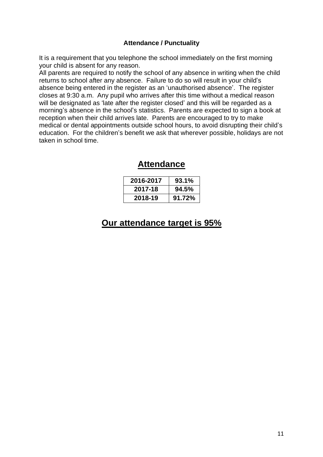#### **Attendance / Punctuality**

It is a requirement that you telephone the school immediately on the first morning your child is absent for any reason.

All parents are required to notify the school of any absence in writing when the child returns to school after any absence. Failure to do so will result in your child's absence being entered in the register as an 'unauthorised absence'. The register closes at 9:30 a.m. Any pupil who arrives after this time without a medical reason will be designated as 'late after the register closed' and this will be regarded as a morning's absence in the school's statistics. Parents are expected to sign a book at reception when their child arrives late. Parents are encouraged to try to make medical or dental appointments outside school hours, to avoid disrupting their child's education. For the children's benefit we ask that wherever possible, holidays are not taken in school time.

# **Attendance**

| 2016-2017 | 93.1%  |
|-----------|--------|
| 2017-18   | 94.5%  |
| 2018-19   | 91.72% |

# **Our attendance target is 95%**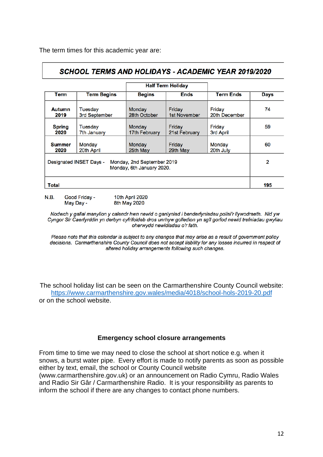The term times for this academic year are:

# **SCHOOL TERMS AND HOLIDAYS - ACADEMIC YEAR 2019/2020**

|                                                                                    |                          |                              | <b>Half Term Holiday</b> |                         |             |  |  |  |
|------------------------------------------------------------------------------------|--------------------------|------------------------------|--------------------------|-------------------------|-------------|--|--|--|
| Term                                                                               | <b>Term Begins</b>       | <b>Begins</b><br><b>Ends</b> |                          | <b>Term Ends</b>        | <b>Days</b> |  |  |  |
| Autumn<br>2019                                                                     | Tuesday<br>3rd September | Monday<br>28th October       |                          | Friday<br>20th December | 74          |  |  |  |
| <b>Spring</b><br>2020                                                              | Tuesday<br>7th January   | Monday<br>17th February      | Friday<br>21st February  | Friday<br>3rd April     | 59          |  |  |  |
| <b>Summer</b><br>2020                                                              | Monday<br>20th April     | Monday<br>25th May           | Friday<br>29th May       | Monday<br>20th July     | 60          |  |  |  |
| Designated INSET Days -<br>Monday, 2nd September 2019<br>Monday, 6th January 2020. |                          |                              |                          |                         |             |  |  |  |
| <b>Total</b>                                                                       |                          |                              |                          |                         |             |  |  |  |

 $N.B.$ Good Friday -10th April 2020 8th May 2020 May Day -

Nodwch y gallai manylion y calendr hwn newid o ganlyniad i benderfyniadau polisi'r llywodraeth. Nid yw Cyngor Sir Caerfyrddin yn derbyn cyfrifoldeb dros unrhyw golledion yn sgîl gorfod newid trefniadau gwyliau oherwydd newidiadau o'r fath.

Please note that this calendar is subject to any changes that may arise as a result of government policy decisions. Carmarthenshire County Council does not accept liability for any losses incurred in respect of altered holiday arrangements following such changes.

The school holiday list can be seen on the Carmarthenshire County Council website: <https://www.carmarthenshire.gov.wales/media/4018/school-hols-2019-20.pdf> or on the school website.

#### **Emergency school closure arrangements**

From time to time we may need to close the school at short notice e.g. when it snows, a burst water pipe. Every effort is made to notify parents as soon as possible either by text, email, the school or County Council website (www.carmarthenshire.gov.uk) or an announcement on Radio Cymru, Radio Wales and Radio Sir Gâr / Carmarthenshire Radio. It is your responsibility as parents to inform the school if there are any changes to contact phone numbers.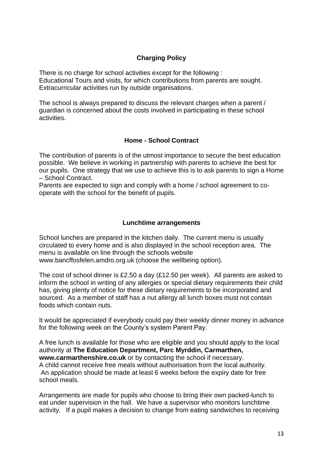# **Charging Policy**

There is no charge for school activities except for the following : Educational Tours and visits, for which contributions from parents are sought. Extracurricular activities run by outside organisations.

The school is always prepared to discuss the relevant charges when a parent / guardian is concerned about the costs involved in participating in these school activities.

#### **Home - School Contract**

The contribution of parents is of the utmost importance to secure the best education possible. We believe in working in partnership with parents to achieve the best for our pupils. One strategy that we use to achieve this is to ask parents to sign a Home – School Contract.

Parents are expected to sign and comply with a home / school agreement to cooperate with the school for the benefit of pupils.

#### **Lunchtime arrangements**

School lunches are prepared in the kitchen daily. The current menu is usually circulated to every home and is also displayed in the school reception area. The menu is available on line through the schools website www.bancffosfelen.amdro.org.uk (choose the wellbeing option).

The cost of school dinner is £2.50 a day (£12.50 per week). All parents are asked to inform the school in writing of any allergies or special dietary requirements their child has, giving plenty of notice for these dietary requirements to be incorporated and sourced. As a member of staff has a nut allergy all lunch boxes must not contain foods which contain nuts.

It would be appreciated if everybody could pay their weekly dinner money in advance for the following week on the County's system Parent Pay.

A free lunch is available for those who are eligible and you should apply to the local authority at **The Education Department, Parc Myrddin, Carmarthen, www.carmarthenshire.co.uk** or by contacting the school if necessary. A child cannot receive free meals without authorisation from the local authority. An application should be made at least 6 weeks before the expiry date for free school meals.

Arrangements are made for pupils who choose to bring their own packed-lunch to eat under supervision in the hall. We have a supervisor who monitors lunchtime activity. If a pupil makes a decision to change from eating sandwiches to receiving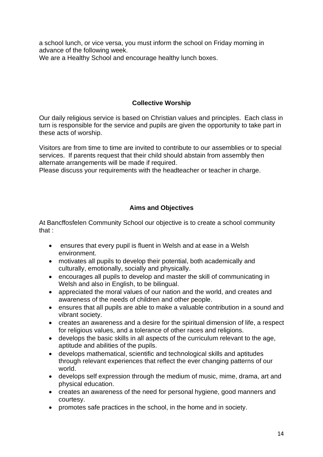a school lunch, or vice versa, you must inform the school on Friday morning in advance of the following week. We are a Healthy School and encourage healthy lunch boxes.

# **Collective Worship**

Our daily religious service is based on Christian values and principles. Each class in turn is responsible for the service and pupils are given the opportunity to take part in these acts of worship.

Visitors are from time to time are invited to contribute to our assemblies or to special services. If parents request that their child should abstain from assembly then alternate arrangements will be made if required.

Please discuss your requirements with the headteacher or teacher in charge.

# **Aims and Objectives**

At Bancffosfelen Community School our objective is to create a school community that :

- ensures that every pupil is fluent in Welsh and at ease in a Welsh environment.
- motivates all pupils to develop their potential, both academically and culturally, emotionally, socially and physically.
- encourages all pupils to develop and master the skill of communicating in Welsh and also in English, to be bilingual.
- appreciated the moral values of our nation and the world, and creates and awareness of the needs of children and other people.
- ensures that all pupils are able to make a valuable contribution in a sound and vibrant society.
- creates an awareness and a desire for the spiritual dimension of life, a respect for religious values, and a tolerance of other races and religions.
- develops the basic skills in all aspects of the curriculum relevant to the age, aptitude and abilities of the pupils.
- develops mathematical, scientific and technological skills and aptitudes through relevant experiences that reflect the ever changing patterns of our world.
- develops self expression through the medium of music, mime, drama, art and physical education.
- creates an awareness of the need for personal hygiene, good manners and courtesy.
- promotes safe practices in the school, in the home and in society.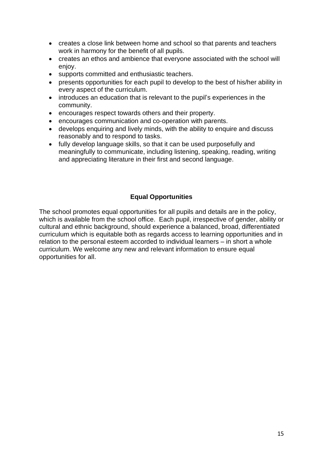- creates a close link between home and school so that parents and teachers work in harmony for the benefit of all pupils.
- creates an ethos and ambience that everyone associated with the school will enjoy.
- supports committed and enthusiastic teachers.
- presents opportunities for each pupil to develop to the best of his/her ability in every aspect of the curriculum.
- introduces an education that is relevant to the pupil's experiences in the community.
- encourages respect towards others and their property.
- encourages communication and co-operation with parents.
- develops enquiring and lively minds, with the ability to enquire and discuss reasonably and to respond to tasks.
- fully develop language skills, so that it can be used purposefully and meaningfully to communicate, including listening, speaking, reading, writing and appreciating literature in their first and second language.

# **Equal Opportunities**

The school promotes equal opportunities for all pupils and details are in the policy, which is available from the school office. Each pupil, irrespective of gender, ability or cultural and ethnic background, should experience a balanced, broad, differentiated curriculum which is equitable both as regards access to learning opportunities and in relation to the personal esteem accorded to individual learners – in short a whole curriculum. We welcome any new and relevant information to ensure equal opportunities for all.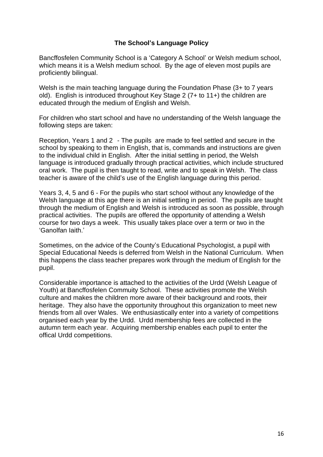#### **The School's Language Policy**

Bancffosfelen Community School is a 'Category A School' or Welsh medium school, which means it is a Welsh medium school. By the age of eleven most pupils are proficiently bilingual.

Welsh is the main teaching language during the Foundation Phase (3+ to 7 years) old). English is introduced throughout Key Stage 2 (7+ to 11+) the children are educated through the medium of English and Welsh.

For children who start school and have no understanding of the Welsh language the following steps are taken:

Reception, Years 1 and 2 - The pupils are made to feel settled and secure in the school by speaking to them in English, that is, commands and instructions are given to the individual child in English. After the initial settling in period, the Welsh language is introduced gradually through practical activities, which include structured oral work. The pupil is then taught to read, write and to speak in Welsh. The class teacher is aware of the child's use of the English language during this period.

Years 3, 4, 5 and 6 - For the pupils who start school without any knowledge of the Welsh language at this age there is an initial settling in period. The pupils are taught through the medium of English and Welsh is introduced as soon as possible, through practical activities. The pupils are offered the opportunity of attending a Welsh course for two days a week. This usually takes place over a term or two in the 'Ganolfan Iaith.'

Sometimes, on the advice of the County's Educational Psychologist, a pupil with Special Educational Needs is deferred from Welsh in the National Curriculum. When this happens the class teacher prepares work through the medium of English for the pupil.

Considerable importance is attached to the activities of the Urdd (Welsh League of Youth) at Bancffosfelen Commuity School. These activities promote the Welsh culture and makes the children more aware of their background and roots, their heritage. They also have the opportunity throughout this organization to meet new friends from all over Wales. We enthusiastically enter into a variety of competitions organised each year by the Urdd. Urdd membership fees are collected in the autumn term each year. Acquiring membership enables each pupil to enter the offical Urdd competitions.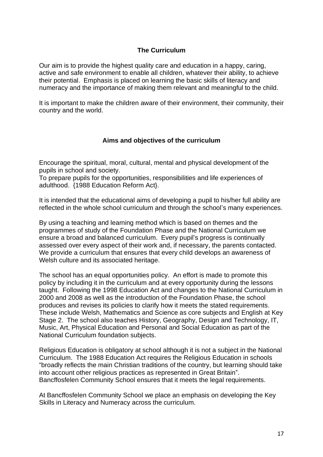#### **The Curriculum**

Our aim is to provide the highest quality care and education in a happy, caring, active and safe environment to enable all children, whatever their ability, to achieve their potential. Emphasis is placed on learning the basic skills of literacy and numeracy and the importance of making them relevant and meaningful to the child.

It is important to make the children aware of their environment, their community, their country and the world.

#### **Aims and objectives of the curriculum**

Encourage the spiritual, moral, cultural, mental and physical development of the pupils in school and society.

To prepare pupils for the opportunities, responsibilities and life experiences of adulthood. {1988 Education Reform Act}.

It is intended that the educational aims of developing a pupil to his/her full ability are reflected in the whole school curriculum and through the school's many experiences.

By using a teaching and learning method which is based on themes and the programmes of study of the Foundation Phase and the National Curriculum we ensure a broad and balanced curriculum. Every pupil's progress is continually assessed over every aspect of their work and, if necessary, the parents contacted. We provide a curriculum that ensures that every child develops an awareness of Welsh culture and its associated heritage.

The school has an equal opportunities policy. An effort is made to promote this policy by including it in the curriculum and at every opportunity during the lessons taught. Following the 1998 Education Act and changes to the National Curriculum in 2000 and 2008 as well as the introduction of the Foundation Phase, the school produces and revises its policies to clarify how it meets the stated requirements. These include Welsh, Mathematics and Science as core subjects and English at Key Stage 2. The school also teaches History, Geography, Design and Technology, IT, Music, Art, Physical Education and Personal and Social Education as part of the National Curriculum foundation subjects.

Religious Education is obligatory at school although it is not a subject in the National Curriculum. The 1988 Education Act requires the Religious Education in schools "broadly reflects the main Christian traditions of the country, but learning should take into account other religious practices as represented in Great Britain". Bancffosfelen Community School ensures that it meets the legal requirements.

At Bancffosfelen Community School we place an emphasis on developing the Key Skills in Literacy and Numeracy across the curriculum.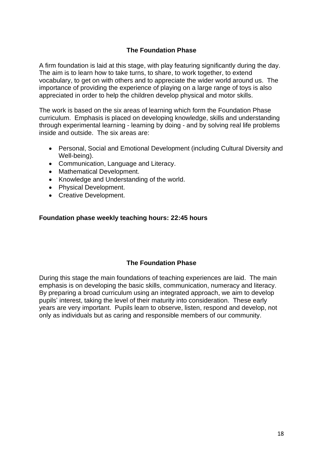# **The Foundation Phase**

A firm foundation is laid at this stage, with play featuring significantly during the day. The aim is to learn how to take turns, to share, to work together, to extend vocabulary, to get on with others and to appreciate the wider world around us. The importance of providing the experience of playing on a large range of toys is also appreciated in order to help the children develop physical and motor skills.

The work is based on the six areas of learning which form the Foundation Phase curriculum. Emphasis is placed on developing knowledge, skills and understanding through experimental learning - learning by doing - and by solving real life problems inside and outside. The six areas are:

- Personal, Social and Emotional Development (including Cultural Diversity and Well-being).
- Communication, Language and Literacy.
- Mathematical Development.
- Knowledge and Understanding of the world.
- Physical Development.
- Creative Development.

#### **Foundation phase weekly teaching hours: 22:45 hours**

#### **The Foundation Phase**

During this stage the main foundations of teaching experiences are laid. The main emphasis is on developing the basic skills, communication, numeracy and literacy. By preparing a broad curriculum using an integrated approach, we aim to develop pupils' interest, taking the level of their maturity into consideration. These early years are very important. Pupils learn to observe, listen, respond and develop, not only as individuals but as caring and responsible members of our community.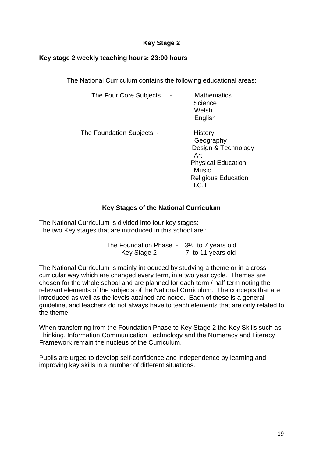# **Key Stage 2**

#### **Key stage 2 weekly teaching hours: 23:00 hours**

The National Curriculum contains the following educational areas:

| The Four Core Subjects    | <b>Mathematics</b><br>Science<br>Welsh<br>English                                                                                      |
|---------------------------|----------------------------------------------------------------------------------------------------------------------------------------|
| The Foundation Subjects - | History<br>Geography<br>Design & Technology<br>Art<br><b>Physical Education</b><br><b>Music</b><br><b>Religious Education</b><br>I.C.T |

# **Key Stages of the National Curriculum**

The National Curriculum is divided into four key stages: The two Key stages that are introduced in this school are :

> The Foundation Phase - 3½ to 7 years old Key Stage 2 - 7 to 11 years old

The National Curriculum is mainly introduced by studying a theme or in a cross curricular way which are changed every term, in a two year cycle. Themes are chosen for the whole school and are planned for each term / half term noting the relevant elements of the subjects of the National Curriculum. The concepts that are introduced as well as the levels attained are noted. Each of these is a general guideline, and teachers do not always have to teach elements that are only related to the theme.

When transferring from the Foundation Phase to Key Stage 2 the Key Skills such as Thinking, Information Communication Technology and the Numeracy and Literacy Framework remain the nucleus of the Curriculum.

Pupils are urged to develop self-confidence and independence by learning and improving key skills in a number of different situations.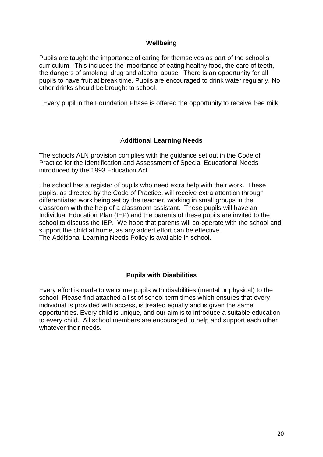#### **Wellbeing**

Pupils are taught the importance of caring for themselves as part of the school's curriculum. This includes the importance of eating healthy food, the care of teeth, the dangers of smoking, drug and alcohol abuse. There is an opportunity for all pupils to have fruit at break time. Pupils are encouraged to drink water regularly. No other drinks should be brought to school.

Every pupil in the Foundation Phase is offered the opportunity to receive free milk.

#### A**dditional Learning Needs**

The schools ALN provision complies with the guidance set out in the Code of Practice for the Identification and Assessment of Special Educational Needs introduced by the 1993 Education Act.

The school has a register of pupils who need extra help with their work. These pupils, as directed by the Code of Practice, will receive extra attention through differentiated work being set by the teacher, working in small groups in the classroom with the help of a classroom assistant. These pupils will have an Individual Education Plan (IEP) and the parents of these pupils are invited to the school to discuss the IEP. We hope that parents will co-operate with the school and support the child at home, as any added effort can be effective. The Additional Learning Needs Policy is available in school.

#### **Pupils with Disabilities**

Every effort is made to welcome pupils with disabilities (mental or physical) to the school. Please find attached a list of school term times which ensures that every individual is provided with access, is treated equally and is given the same opportunities. Every child is unique, and our aim is to introduce a suitable education to every child. All school members are encouraged to help and support each other whatever their needs.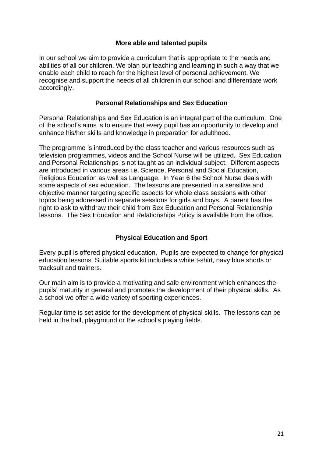#### **More able and talented pupils**

In our school we aim to provide a curriculum that is appropriate to the needs and abilities of all our children. We plan our teaching and learning in such a way that we enable each child to reach for the highest level of personal achievement. We recognise and support the needs of all children in our school and differentiate work accordingly.

#### **Personal Relationships and Sex Education**

Personal Relationships and Sex Education is an integral part of the curriculum. One of the school's aims is to ensure that every pupil has an opportunity to develop and enhance his/her skills and knowledge in preparation for adulthood.

The programme is introduced by the class teacher and various resources such as television programmes, videos and the School Nurse will be utilized. Sex Education and Personal Relationships is not taught as an individual subject. Different aspects are introduced in various areas i.e. Science, Personal and Social Education, Religious Education as well as Language. In Year 6 the School Nurse deals with some aspects of sex education. The lessons are presented in a sensitive and objective manner targeting specific aspects for whole class sessions with other topics being addressed in separate sessions for girls and boys. A parent has the right to ask to withdraw their child from Sex Education and Personal Relationship lessons. The Sex Education and Relationships Policy is available from the office.

# **Physical Education and Sport**

Every pupil is offered physical education. Pupils are expected to change for physical education lessons. Suitable sports kit includes a white t-shirt, navy blue shorts or tracksuit and trainers.

Our main aim is to provide a motivating and safe environment which enhances the pupils' maturity in general and promotes the development of their physical skills. As a school we offer a wide variety of sporting experiences.

Regular time is set aside for the development of physical skills. The lessons can be held in the hall, playground or the school's playing fields.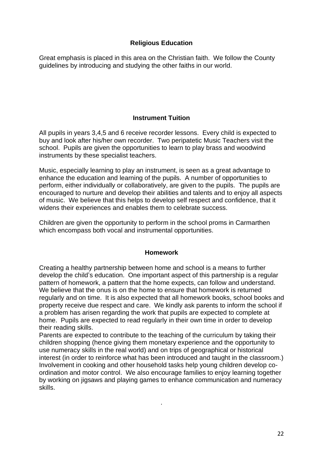# **Religious Education**

Great emphasis is placed in this area on the Christian faith. We follow the County guidelines by introducing and studying the other faiths in our world.

# **Instrument Tuition**

All pupils in years 3,4,5 and 6 receive recorder lessons. Every child is expected to buy and look after his/her own recorder. Two peripatetic Music Teachers visit the school. Pupils are given the opportunities to learn to play brass and woodwind instruments by these specialist teachers.

Music, especially learning to play an instrument, is seen as a great advantage to enhance the education and learning of the pupils. A number of opportunities to perform, either individually or collaboratively, are given to the pupils. The pupils are encouraged to nurture and develop their abilities and talents and to enjoy all aspects of music. We believe that this helps to develop self respect and confidence, that it widens their experiences and enables them to celebrate success.

Children are given the opportunity to perform in the school proms in Carmarthen which encompass both vocal and instrumental opportunities.

# **Homework**

Creating a healthy partnership between home and school is a means to further develop the child's education. One important aspect of this partnership is a regular pattern of homework, a pattern that the home expects, can follow and understand. We believe that the onus is on the home to ensure that homework is returned regularly and on time. It is also expected that all homework books, school books and property receive due respect and care. We kindly ask parents to inform the school if a problem has arisen regarding the work that pupils are expected to complete at home. Pupils are expected to read regularly in their own time in order to develop their reading skills.

Parents are expected to contribute to the teaching of the curriculum by taking their children shopping (hence giving them monetary experience and the opportunity to use numeracy skills in the real world) and on trips of geographical or historical interest (in order to reinforce what has been introduced and taught in the classroom.) Involvement in cooking and other household tasks help young children develop coordination and motor control. We also encourage families to enjoy learning together by working on jigsaws and playing games to enhance communication and numeracy skills.

.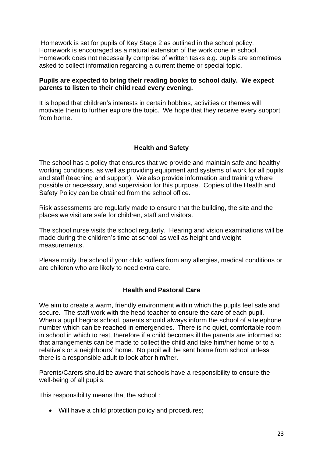Homework is set for pupils of Key Stage 2 as outlined in the school policy. Homework is encouraged as a natural extension of the work done in school. Homework does not necessarily comprise of written tasks e.g. pupils are sometimes asked to collect information regarding a current theme or special topic.

#### **Pupils are expected to bring their reading books to school daily. We expect parents to listen to their child read every evening.**

It is hoped that children's interests in certain hobbies, activities or themes will motivate them to further explore the topic. We hope that they receive every support from home.

#### **Health and Safety**

The school has a policy that ensures that we provide and maintain safe and healthy working conditions, as well as providing equipment and systems of work for all pupils and staff (teaching and support). We also provide information and training where possible or necessary, and supervision for this purpose. Copies of the Health and Safety Policy can be obtained from the school office.

Risk assessments are regularly made to ensure that the building, the site and the places we visit are safe for children, staff and visitors.

The school nurse visits the school regularly. Hearing and vision examinations will be made during the children's time at school as well as height and weight measurements.

Please notify the school if your child suffers from any allergies, medical conditions or are children who are likely to need extra care.

#### **Health and Pastoral Care**

We aim to create a warm, friendly environment within which the pupils feel safe and secure. The staff work with the head teacher to ensure the care of each pupil. When a pupil begins school, parents should always inform the school of a telephone number which can be reached in emergencies. There is no quiet, comfortable room in school in which to rest, therefore if a child becomes ill the parents are informed so that arrangements can be made to collect the child and take him/her home or to a relative's or a neighbours' home. No pupil will be sent home from school unless there is a responsible adult to look after him/her.

Parents/Carers should be aware that schools have a responsibility to ensure the well-being of all pupils.

This responsibility means that the school :

• Will have a child protection policy and procedures;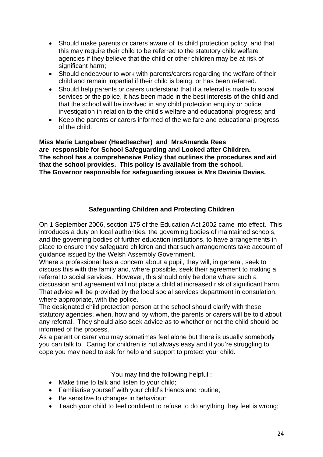- Should make parents or carers aware of its child protection policy, and that this may require their child to be referred to the statutory child welfare agencies if they believe that the child or other children may be at risk of significant harm;
- Should endeavour to work with parents/carers regarding the welfare of their child and remain impartial if their child is being, or has been referred.
- Should help parents or carers understand that if a referral is made to social services or the police, it has been made in the best interests of the child and that the school will be involved in any child protection enquiry or police investigation in relation to the child's welfare and educational progress; and
- Keep the parents or carers informed of the welfare and educational progress of the child.

**Miss Marie Langabeer (Headteacher) and MrsAmanda Rees are responsible for School Safeguarding and Looked after Children. The school has a comprehensive Policy that outlines the procedures and aid that the school provides. This policy is available from the school. The Governor responsible for safeguarding issues is Mrs Davinia Davies.**

# **Safeguarding Children and Protecting Children**

On 1 September 2006, section 175 of the Education Act 2002 came into effect. This introduces a duty on local authorities, the governing bodies of maintained schools, and the governing bodies of further education institutions, to have arrangements in place to ensure they safeguard children and that such arrangements take account of guidance issued by the Welsh Assembly Government.

Where a professional has a concern about a pupil, they will, in general, seek to discuss this with the family and, where possible, seek their agreement to making a referral to social services. However, this should only be done where such a discussion and agreement will not place a child at increased risk of significant harm. That advice will be provided by the local social services department in consulation, where appropriate, with the police.

The designated child protection person at the school should clarify with these statutory agencies, when, how and by whom, the parents or carers will be told about any referral. They should also seek advice as to whether or not the child should be informed of the process.

As a parent or carer you may sometimes feel alone but there is usually somebody you can talk to. Caring for children is not always easy and if you're struggling to cope you may need to ask for help and support to protect your child.

You may find the following helpful :

- Make time to talk and listen to your child;
- Familiarise yourself with your child's friends and routine;
- Be sensitive to changes in behaviour;
- Teach your child to feel confident to refuse to do anything they feel is wrong;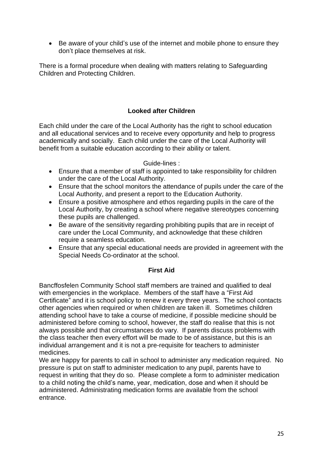• Be aware of your child's use of the internet and mobile phone to ensure they don't place themselves at risk.

There is a formal procedure when dealing with matters relating to Safeguarding Children and Protecting Children.

# **Looked after Children**

Each child under the care of the Local Authority has the right to school education and all educational services and to receive every opportunity and help to progress academically and socially. Each child under the care of the Local Authority will benefit from a suitable education according to their ability or talent.

Guide-lines :

- Ensure that a member of staff is appointed to take responsibility for children under the care of the Local Authority.
- Ensure that the school monitors the attendance of pupils under the care of the Local Authority, and present a report to the Education Authority.
- Ensure a positive atmosphere and ethos regarding pupils in the care of the Local Authority, by creating a school where negative stereotypes concerning these pupils are challenged.
- Be aware of the sensitivity regarding prohibiting pupils that are in receipt of care under the Local Community, and acknowledge that these children require a seamless education.
- Ensure that any special educational needs are provided in agreement with the Special Needs Co-ordinator at the school.

# **First Aid**

Bancffosfelen Community School staff members are trained and qualified to deal with emergencies in the workplace. Members of the staff have a "First Aid Certificate" and it is school policy to renew it every three years. The school contacts other agencies when required or when children are taken ill. Sometimes children attending school have to take a course of medicine, if possible medicine should be administered before coming to school, however, the staff do realise that this is not always possible and that circumstances do vary. If parents discuss problems with the class teacher then every effort will be made to be of assistance, but this is an individual arrangement and it is not a pre-requisite for teachers to administer medicines.

We are happy for parents to call in school to administer any medication required. No pressure is put on staff to administer medication to any pupil, parents have to request in writing that they do so. Please complete a form to administer medication to a child noting the child's name, year, medication, dose and when it should be administered. Administrating medication forms are available from the school entrance.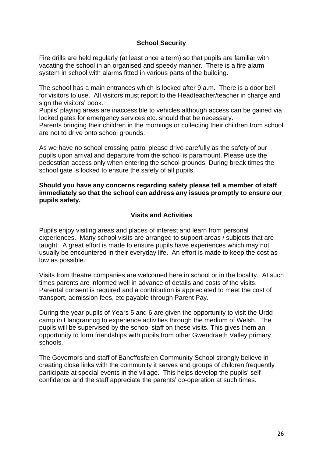#### **School Security**

Fire drills are held regularly (at least once a term) so that pupils are familiar with vacating the school in an organised and speedy manner. There is a fire alarm system in school with alarms fitted in various parts of the building.

The school has a main entrances which is locked after 9 a.m. There is a door bell for visitors to use. All visitors must report to the Headteacher/teacher in charge and sign the visitors' book.

Pupils' playing areas are inaccessible to vehicles although access can be gained via locked gates for emergency services etc. should that be necessary.

Parents bringing their children in the mornings or collecting their children from school are not to drive onto school grounds.

As we have no school crossing patrol please drive carefully as the safety of our pupils upon arrival and departure from the school is paramount. Please use the pedestrian access only when entering the school grounds. During break times the school gate is locked to ensure the safety of all pupils.

#### **Should you have any concerns regarding safety please tell a member of staff immediately so that the school can address any issues promptly to ensure our pupils safety.**

#### **Visits and Activities**

Pupils enjoy visiting areas and places of interest and learn from personal experiences. Many school visits are arranged to support areas / subjects that are taught. A great effort is made to ensure pupils have experiences which may not usually be encountered in their everyday life. An effort is made to keep the cost as low as possible.

Visits from theatre companies are welcomed here in school or in the locality. At such times parents are informed well in advance of details and costs of the visits. Parental consent is required and a contribution is appreciated to meet the cost of transport, admission fees, etc payable through Parent Pay.

During the year pupils of Years 5 and 6 are given the opportunity to visit the Urdd camp in Llangrannog to experience activities through the medium of Welsh. The pupils will be supervised by the school staff on these visits. This gives them an opportunity to form friendships with pupils from other Gwendraeth Valley primary schools.

The Governors and staff of Bancffosfelen Community School strongly believe in creating close links with the community it serves and groups of children frequently participate at special events in the village. This helps develop the pupils' self confidence and the staff appreciate the parents' co-operation at such times.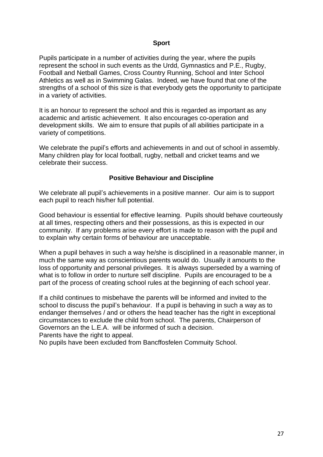#### **Sport**

Pupils participate in a number of activities during the year, where the pupils represent the school in such events as the Urdd, Gymnastics and P.E., Rugby, Football and Netball Games, Cross Country Running, School and Inter School Athletics as well as in Swimming Galas. Indeed, we have found that one of the strengths of a school of this size is that everybody gets the opportunity to participate in a variety of activities.

It is an honour to represent the school and this is regarded as important as any academic and artistic achievement. It also encourages co-operation and development skills. We aim to ensure that pupils of all abilities participate in a variety of competitions.

We celebrate the pupil's efforts and achievements in and out of school in assembly. Many children play for local football, rugby, netball and cricket teams and we celebrate their success.

#### **Positive Behaviour and Discipline**

We celebrate all pupil's achievements in a positive manner. Our aim is to support each pupil to reach his/her full potential.

Good behaviour is essential for effective learning. Pupils should behave courteously at all times, respecting others and their possessions, as this is expected in our community. If any problems arise every effort is made to reason with the pupil and to explain why certain forms of behaviour are unacceptable.

When a pupil behaves in such a way he/she is disciplined in a reasonable manner, in much the same way as conscientious parents would do. Usually it amounts to the loss of opportunity and personal privileges. It is always superseded by a warning of what is to follow in order to nurture self discipline. Pupils are encouraged to be a part of the process of creating school rules at the beginning of each school year.

If a child continues to misbehave the parents will be informed and invited to the school to discuss the pupil's behaviour. If a pupil is behaving in such a way as to endanger themselves / and or others the head teacher has the right in exceptional circumstances to exclude the child from school. The parents, Chairperson of Governors an the L.E.A. will be informed of such a decision. Parents have the right to appeal.

No pupils have been excluded from Bancffosfelen Commuity School.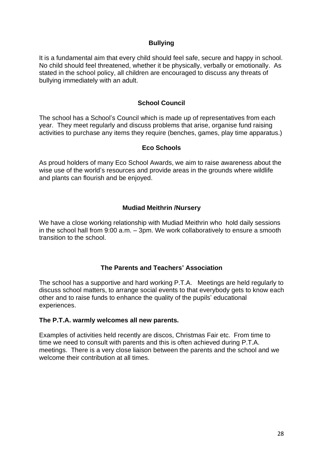#### **Bullying**

It is a fundamental aim that every child should feel safe, secure and happy in school. No child should feel threatened, whether it be physically, verbally or emotionally. As stated in the school policy, all children are encouraged to discuss any threats of bullying immediately with an adult.

#### **School Council**

The school has a School's Council which is made up of representatives from each year. They meet regularly and discuss problems that arise, organise fund raising activities to purchase any items they require (benches, games, play time apparatus.)

#### **Eco Schools**

As proud holders of many Eco School Awards, we aim to raise awareness about the wise use of the world's resources and provide areas in the grounds where wildlife and plants can flourish and be enjoyed.

#### **Mudiad Meithrin /Nursery**

We have a close working relationship with Mudiad Meithrin who hold daily sessions in the school hall from 9:00 a.m. – 3pm. We work collaboratively to ensure a smooth transition to the school.

#### **The Parents and Teachers' Association**

The school has a supportive and hard working P.T.A. Meetings are held regularly to discuss school matters, to arrange social events to that everybody gets to know each other and to raise funds to enhance the quality of the pupils' educational experiences.

#### **The P.T.A. warmly welcomes all new parents.**

Examples of activities held recently are discos, Christmas Fair etc. From time to time we need to consult with parents and this is often achieved during P.T.A. meetings. There is a very close liaison between the parents and the school and we welcome their contribution at all times.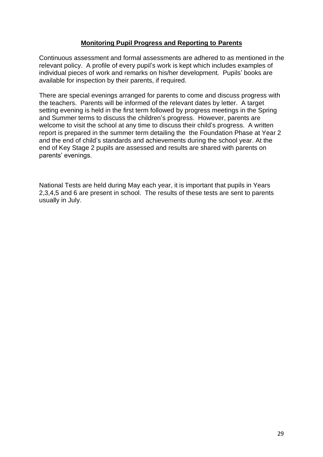#### **Monitoring Pupil Progress and Reporting to Parents**

Continuous assessment and formal assessments are adhered to as mentioned in the relevant policy. A profile of every pupil's work is kept which includes examples of individual pieces of work and remarks on his/her development. Pupils' books are available for inspection by their parents, if required.

There are special evenings arranged for parents to come and discuss progress with the teachers. Parents will be informed of the relevant dates by letter. A target setting evening is held in the first term followed by progress meetings in the Spring and Summer terms to discuss the children's progress. However, parents are welcome to visit the school at any time to discuss their child's progress. A written report is prepared in the summer term detailing the the Foundation Phase at Year 2 and the end of child's standards and achievements during the school year. At the end of Key Stage 2 pupils are assessed and results are shared with parents on parents' evenings.

National Tests are held during May each year, it is important that pupils in Years 2,3,4,5 and 6 are present in school. The results of these tests are sent to parents usually in July.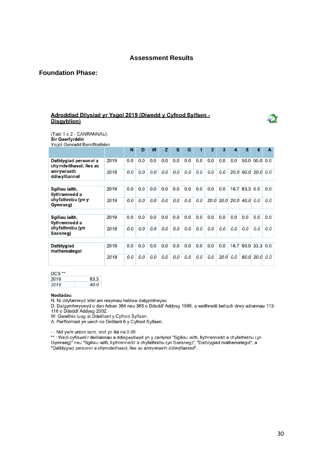#### **Assessment Results**

#### **Foundation Phase:**

#### Adroddiad Dilysiad yr Ysgol 2019 (Diwedd y Cyfnod Sylfaen -Disgyblion)

(Tabl 1 o 2 - CANRANNAU) Sir Gaerfyrddin

Ysgol Gynradd Bancffosfelen

|                                                 |      | N   | D   | W   | z   | S   | G   |     | $\overline{2}$ | 3                   | 4   | 5         | 6                    | A   |
|-------------------------------------------------|------|-----|-----|-----|-----|-----|-----|-----|----------------|---------------------|-----|-----------|----------------------|-----|
| Datblygiad personol a<br>chymdeithasol, lles ac | 2019 | 0.0 | 0.0 | 0.0 | 0.0 | 0.0 | 0.0 | 0.0 | 0.0            | 0.0                 | 0.0 | 50.0      | 50.0                 | 0.0 |
| amrywiaeth<br>ddiwylliannol                     | 2018 | 0.0 | 0.0 | 0.0 | 0.0 | 0.0 | 0.0 | 0.0 | 0.0            | 0.0                 |     |           | 20.0 60.0 20.0 0.0   |     |
|                                                 |      |     |     |     |     |     |     |     |                |                     |     |           |                      |     |
| Sgiliau iaith,<br>llythrennedd a                | 2019 | 0.0 | 0.0 | 0.0 | 0.0 | 0.0 | 0.0 | 0.0 | 0.0            | 0.0                 |     | 16.7 83.3 | 0.0                  | 0.0 |
| chyfathrebu (yn y<br>Gymraeg)                   | 2018 | 0.0 | 0.0 | 0.0 | 0.0 | 0.0 | 0.0 | 0.0 |                | 20.0 20.0 20.0 40.0 |     |           | 0.0                  | 0.0 |
|                                                 |      |     |     |     |     |     |     |     |                |                     |     |           |                      |     |
| Sgiliau iaith,<br>llythrennedd a                | 2019 | 0.0 | 0.0 | 0.0 | 0.0 | 0.0 | 0.0 | 0.0 | 0.0            | 0.0                 | 0.0 | 0.0       | 0.0                  | 0.0 |
| chyfathrebu (yn<br>Saesneg)                     | 2018 | 0.0 | 0.0 | 0.0 | 0.0 | 0.0 | 0.0 | 0.0 | 0.0            | 0.0                 | 0.0 | 0.0       | 0.0                  | 0.0 |
|                                                 |      |     |     |     |     |     |     |     |                |                     |     |           |                      |     |
| Datblygiad<br>mathemategol                      | 2019 | 0.0 | 0.0 | 0.0 | 0.0 | 0.0 | 0.0 | 0.0 | 0.0            | 0.0                 |     |           | $16.7$ 50.0 33.3 0.0 |     |
|                                                 | 2018 | 0.0 | 0.0 | 0.0 | 0.0 | 0.0 | 0.0 | 0.0 | 0.0            | 20.0                | 0.0 | 60.0      | 20.0                 | 0.0 |

DCS<sup>\*\*</sup>

| 2019 | 83.3 |
|------|------|
| 2018 | 40.0 |

#### Nodiadau

N: Ni ddyfarnwyd lefel am resymau heblaw datgymhwyso

D: Datgymhwyswyd o dan Adran 364 neu 365 o Ddeddf Addysg 1996, a weithredit bellach drwy adrannau 113-116 o Ddeddf Addysg 2002.<br>W: Gweithio tuag at Ddeilliant y Cyfnod Sylfaen.

A: Perfformiad yn uwch na Deilliant 6 y Cyfnod Sylfaen.

- : Nid yw'n union sero, ond yn llai na 0.05<br>\*\* : Wedi cyflawni'r deilliannau a ddisgwyliwyd yn y canlynol "Sgiliau iaith, llythrennedd a chyfathrebu (yn<br>Gymraeg)" neu "Sgiliau iaith, llythrennedd a chyfathrebu (yn Saesneg "Datblygiad personol a chymdeithasol, lles ac amrywiaeth ddiwylliannol".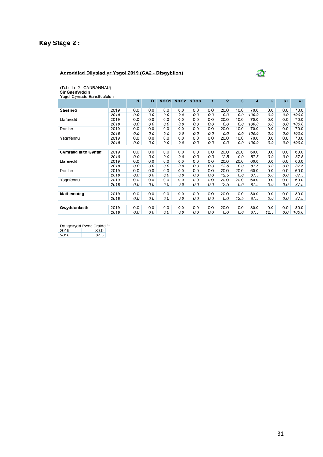# **Key Stage 2 :**

#### Adroddiad Dilysiad yr Ysgol 2019 (CA2 - Disgyblion)



(Tabl 1 o 2 - CANRANNAU)<br>**Sir Gaerfyrddin**<br>Ysgol Gynradd Bancffosfelen

|                             |      | N   | D   | NCO <sub>1</sub> | NCO <sub>2</sub> | NCO <sub>3</sub> | $\mathbf 1$ | $\overline{2}$ | 3    | 4     | 5    | $6+$ | $4+$  |
|-----------------------------|------|-----|-----|------------------|------------------|------------------|-------------|----------------|------|-------|------|------|-------|
| <b>Saesneg</b>              | 2019 | 0.0 | 0.0 | 0.0              | 0.0              | 0.0              | 0.0         | 20.0           | 10.0 | 70.0  | 0.0  | 0.0  | 70.0  |
|                             | 2018 | 0.0 | 0.0 | 0.0              | 0.0              | 0.0              | 0.0         | 0.0            | 0.0  | 100.0 | 0.0  | 0.0  | 100.0 |
| Llafaredd                   | 2019 | 0.0 | 0.0 | 0.0              | 0.0              | 0.0              | 0.0         | 20.0           | 10.0 | 70.0  | 0.0  | 0.0  | 70.0  |
|                             | 2018 | 0.0 | 0.0 | 0.0              | 0.0              | 0.0              | 0.0         | 0.0            | 0.0  | 100.0 | 0.0  | 0.0  | 100.0 |
| Darllen                     | 2019 | 0.0 | 0.0 | 0.0              | 0.0              | 0.0              | 0.0         | 20.0           | 10.0 | 70.0  | 0.0  | 0.0  | 70.0  |
|                             | 2018 | 0.0 | 0.0 | 0.0              | 0.0              | 0.0              | 0.0         | 0.0            | 0.0  | 100.0 | 0.0  | 0.0  | 100.0 |
| Ysgrifennu                  | 2019 | 0.0 | 0.0 | 0.0              | 0.0              | 0.0              | 0.0         | 20.0           | 10.0 | 70.0  | 0.0  | 0.0  | 70.0  |
|                             | 2018 | 0.0 | 0.0 | 0.0              | 0.0              | 0.0              | 0.0         | 0.0            | 0.0  | 100.0 | 0.0  | 0.0  | 100.0 |
|                             |      |     |     |                  |                  |                  |             |                |      |       |      |      |       |
| <b>Cymraeg laith Gyntaf</b> | 2019 | 0.0 | 0.0 | 0.0              | 0.0              | 0.0              | 0.0         | 20.0           | 20.0 | 60.0  | 0.0  | 0.0  | 60.0  |
|                             | 2018 | 0.0 | 0.0 | 0.0              | 0.0              | 0.0              | 0.0         | 12.5           | 0.0  | 87.5  | 0.0  | 0.0  | 87.5  |
| Llafaredd                   | 2019 | 0.0 | 0.0 | 0.0              | 0.0              | 0.0              | 0.0         | 20.0           | 20.0 | 60.0  | 0.0  | 0.0  | 60.0  |
|                             | 2018 | 0.0 | 0.0 | 0.0              | 0.0              | 0.0              | 0.0         | 12.5           | 0.0  | 87.5  | 0.0  | 0.0  | 87.5  |
| Darllen                     | 2019 | 0.0 | 0.0 | 0.0              | 0.0              | 0.0              | 0.0         | 20.0           | 20.0 | 60.0  | 0.0  | 0.0  | 60.0  |
|                             | 2018 | 0.0 | 0.0 | 0.0              | 0.0              | 0.0              | 0.0         | 12.5           | 0.0  | 87.5  | 0.0  | 0.0  | 87.5  |
| Ysgrifennu                  | 2019 | 0.0 | 0.0 | 0.0              | 0.0              | 0.0              | 0.0         | 20.0           | 20.0 | 60.0  | 0.0  | 0.0  | 60.0  |
|                             | 2018 | 0.0 | 0.0 | 0.0              | 0.0              | 0.0              | 0.0         | 12.5           | 0.0  | 87.5  | 0.0  | 0.0  | 87.5  |
|                             |      |     |     |                  |                  |                  |             |                |      |       |      |      |       |
| <b>Mathemateg</b>           | 2019 | 0.0 | 0.0 | 0.0              | 0.0              | 0.0              | 0.0         | 20.0           | 0.0  | 80.0  | 0.0  | 0.0  | 80.0  |
|                             | 2018 | 0.0 | 0.0 | 0.0              | 0.0              | 0.0              | 0.0         | 0.0            | 12.5 | 87.5  | 0.0  | 0.0  | 87.5  |
|                             |      |     |     |                  |                  |                  |             |                |      |       |      |      |       |
| Gwyddoniaeth                | 2019 | 0.0 | 0.0 | 0.0              | 0.0              | 0.0              | 0.0         | 20.0           | 0.0  | 80.0  | 0.0  | 0.0  | 80.0  |
|                             | 2018 | 0.0 | 0.0 | 0.0              | 0.0              | 0.0              | 0.0         | 0.0            | 0.0  | 87.5  | 12.5 | 0.0  | 100.0 |